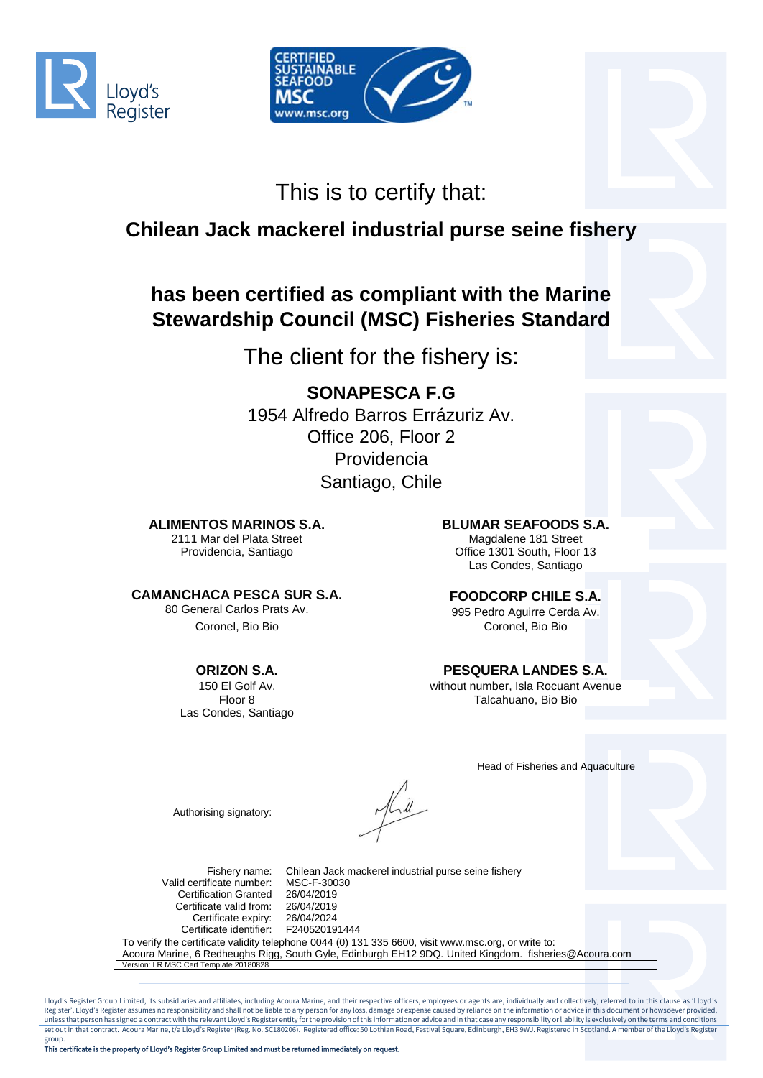



# This is to certify that:

## **Chilean Jack mackerel industrial purse seine fishery**

## **has been certified as compliant with the Marine Stewardship Council (MSC) Fisheries Standard**

The client for the fishery is:

## **SONAPESCA F.G**

1954 Alfredo Barros Errázuriz Av. Office 206, Floor 2 Providencia Santiago, Chile

### **ALIMENTOS MARINOS S.A. BLUMAR SEAFOODS S.A.**

2111 Mar del Plata Street Providencia, Santiago

### **CAMANCHACA PESCA SUR S.A.**

80 General Carlos Prats Av.

### **ORIZON S.A.**

150 El Golf Av. Floor 8 Las Condes, Santiago

Magdalene 181 Street Office 1301 South, Floor 13 Las Condes, Santiago

### **FOODCORP CHILE S.A.**

995 Pedro Aguirre Cerda Av. Coronel, Bio Bio Coronel, Bio Bio

### **PESQUERA LANDES S.A.**

without number, Isla Rocuant Avenue Talcahuano, Bio Bio

Head of Fisheries and Aquaculture

Authorising signatory:

Fishery name: Chilean Jack mackerel industrial purse seine fishery Valid certificate number: MSC-F-30030<br>Certification Granted 26/04/2019 Certification Granted 26/04/2019<br>Certificate valid from: 26/04/2019 Certificate valid from: 26/04/2019<br>Certificate expiry: 26/04/2024 Certificate expiry: Certificate identifier: F240520191444 To verify the certificate validity telephone 0044 (0) 131 335 6600, visit www.msc.org, or write to: Acoura Marine, 6 Redheughs Rigg, South Gyle, Edinburgh EH12 9DQ. United Kingdom. fisheries@Acoura.com

Lloyd's Register Group Limited, its subsidiaries and affiliates, including Acoura Marine, and their respective officers, employees or agents are, individually and collectively, referred to in this clause as 'Lloyd's<br>Regist unless that person has signed a contract with the relevant Lloyd's Register entity for the provision of this information or advice and in that case any responsibility or liability is exclusively on the terms and conditions set out in that contract. Acoura Marine, t/a Lloyd's Register (Reg. No. SC180206). Registered office: 50 Lothian Road, Festival Square, Edinburgh, EH3 9WJ. Registered in Scotland. A member of the Lloyd's Register

Version: LR MSC Cert Template 20180828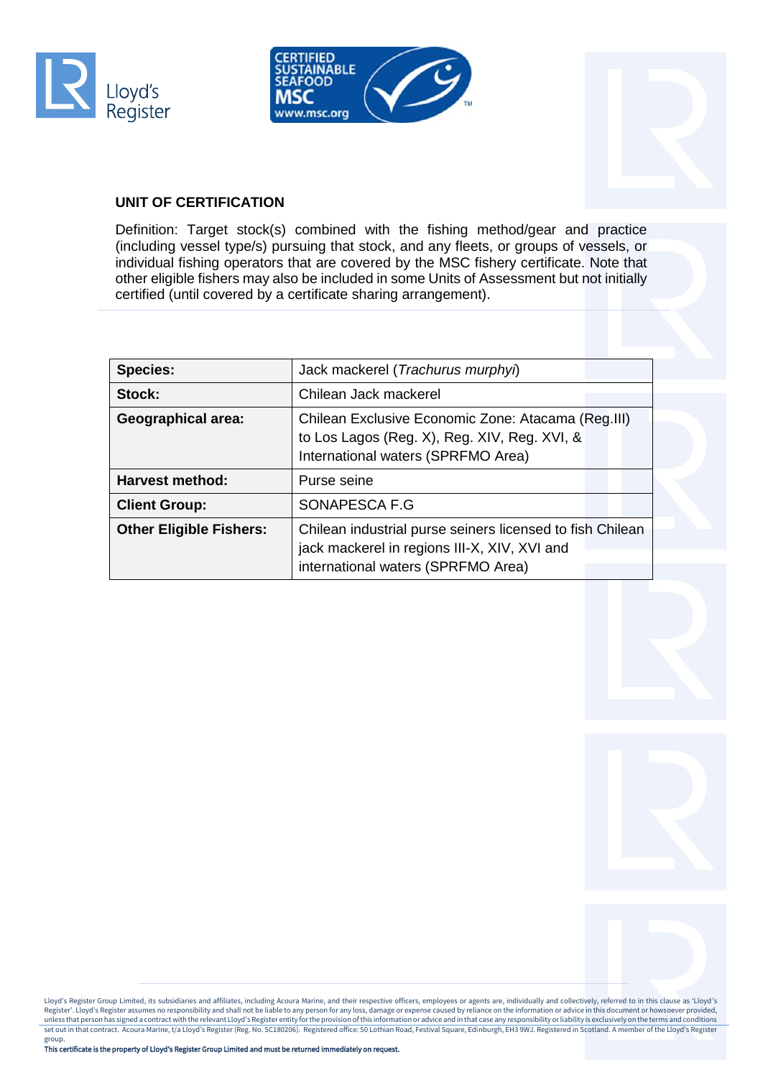





### **UNIT OF CERTIFICATION**

Definition: Target stock(s) combined with the fishing method/gear and practice (including vessel type/s) pursuing that stock, and any fleets, or groups of vessels, or individual fishing operators that are covered by the MSC fishery certificate. Note that other eligible fishers may also be included in some Units of Assessment but not initially certified (until covered by a certificate sharing arrangement).

| <b>Species:</b>                | Jack mackerel (Trachurus murphyi)                                                                                                               |
|--------------------------------|-------------------------------------------------------------------------------------------------------------------------------------------------|
| Stock:                         | Chilean Jack mackerel                                                                                                                           |
| <b>Geographical area:</b>      | Chilean Exclusive Economic Zone: Atacama (Reg.III)<br>to Los Lagos (Reg. X), Reg. XIV, Reg. XVI, &<br>International waters (SPRFMO Area)        |
| Harvest method:                | Purse seine                                                                                                                                     |
| <b>Client Group:</b>           | SONAPESCA F.G                                                                                                                                   |
| <b>Other Eligible Fishers:</b> | Chilean industrial purse seiners licensed to fish Chilean<br>jack mackerel in regions III-X, XIV, XVI and<br>international waters (SPRFMO Area) |

Lloyd's Register Group Limited, its subsidiaries and affiliates, including Acoura Marine, and their respective officers, employees or agents are, individually and collectively, referred to in this clause as 'Lloyd's<br>Regist unless that person has signed a contract with the relevant Lloyd's Register entity for the provision of this information or advice and in that case any responsibility or liability is exclusively on the terms and conditions set out in that contract. Acoura Marine, t/a Lloyd's Register (Reg. No. SC180206). Registered office: 50 Lothian Road, Festival Square, Edinburgh, EH3 9WJ. Registered in Scotland. A member of the Lloyd's Register